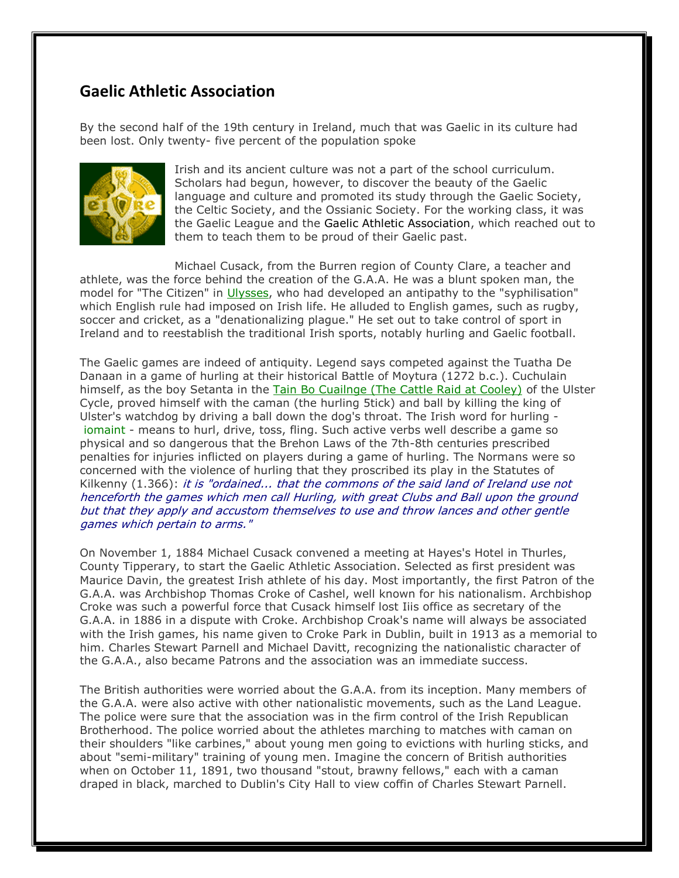## **Gaelic Athletic Association**

By the second half of the 19th century in Ireland, much that was Gaelic in its culture had been lost. Only twenty- five percent of the population spoke



Irish and its ancient culture was not a part of the school curriculum. Scholars had begun, however, to discover the beauty of the Gaelic language and culture and promoted its study through the Gaelic Society, the Celtic Society, and the Ossianic Society. For the working class, it was the Gaelic League and the Gaelic Athletic Association, which reached out to them to teach them to be proud of their Gaelic past.

Michael Cusack, from the Burren region of County Clare, a teacher and athlete, was the force behind the creation of the G.A.A. He was a blunt spoken man, the model for "The Citizen" in Ulysses, who had developed an antipathy to the "syphilisation" which English rule had imposed on Irish life. He alluded to English games, such as rugby, soccer and cricket, as a "denationalizing plague." He set out to take control of sport in Ireland and to reestablish the traditional Irish sports, notably hurling and Gaelic football.

The Gaelic games are indeed of antiquity. Legend says competed against the Tuatha De Danaan in a game of hurling at their historical Battle of Moytura (1272 b.c.). Cuchulain himself, as the boy Setanta in the Tain Bo Cuailnge (The Cattle Raid at Cooley) of the Ulster Cycle, proved himself with the caman (the hurling 5tick) and ball by killing the king of Ulster's watchdog by driving a ball down the dog's throat. The Irish word for hurling iomaint - means to hurl, drive, toss, fling. Such active verbs well describe a game so physical and so dangerous that the Brehon Laws of the 7th-8th centuries prescribed penalties for injuries inflicted on players during a game of hurling. The Normans were so concerned with the violence of hurling that they proscribed its play in the Statutes of Kilkenny  $(1.366)$ : it is "ordained... that the commons of the said land of Ireland use not henceforth the games which men call Hurling, with great Clubs and Ball upon the ground but that they apply and accustom themselves to use and throw lances and other gentle games which pertain to arms."

On November 1, 1884 Michael Cusack convened a meeting at Hayes's Hotel in Thurles, County Tipperary, to start the Gaelic Athletic Association. Selected as first president was Maurice Davin, the greatest Irish athlete of his day. Most importantly, the first Patron of the G.A.A. was Archbishop Thomas Croke of Cashel, well known for his nationalism. Archbishop Croke was such a powerful force that Cusack himself lost Iiis office as secretary of the G.A.A. in 1886 in a dispute with Croke. Archbishop Croak's name will always be associated with the Irish games, his name given to Croke Park in Dublin, built in 1913 as a memorial to him. Charles Stewart Parnell and Michael Davitt, recognizing the nationalistic character of the G.A.A., also became Patrons and the association was an immediate success.

The British authorities were worried about the G.A.A. from its inception. Many members of the G.A.A. were also active with other nationalistic movements, such as the Land League. The police were sure that the association was in the firm control of the Irish Republican Brotherhood. The police worried about the athletes marching to matches with caman on their shoulders "like carbines," about young men going to evictions with hurling sticks, and about "semi-military" training of young men. Imagine the concern of British authorities when on October 11, 1891, two thousand "stout, brawny fellows," each with a caman draped in black, marched to Dublin's City Hall to view coffin of Charles Stewart Parnell.